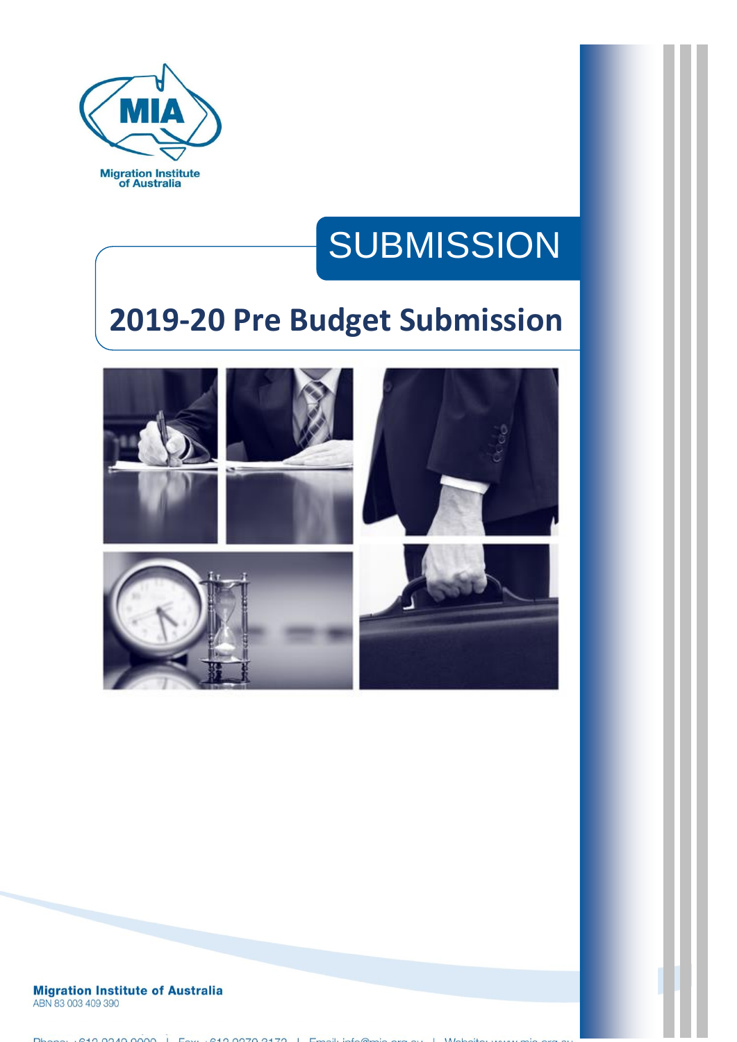

# **SUBMISSION**

# **2019-20 Pre Budget Submission**



**Migration Institute of Australia** ABN 83 003 409 390

Phone: 010.0040.0000 | Fax: 010.0070.0170 | Fax: 1.16.0  $\overline{111}$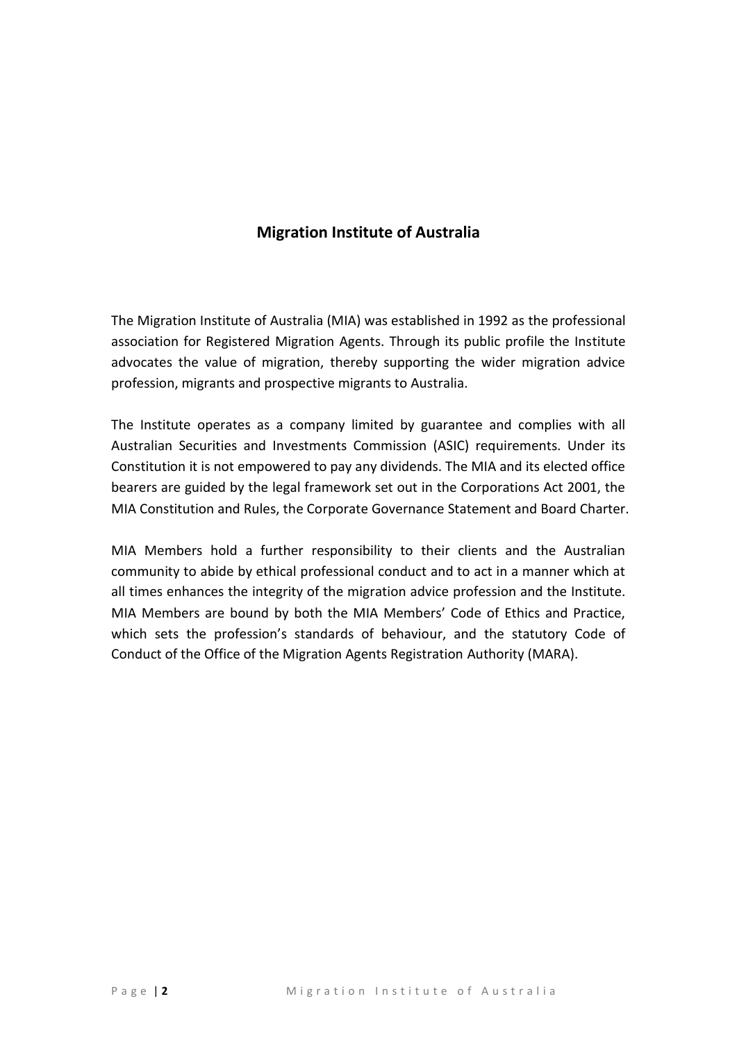# **Migration Institute of Australia**

The Migration Institute of Australia (MIA) was established in 1992 as the professional association for Registered Migration Agents. Through its public profile the Institute advocates the value of migration, thereby supporting the wider migration advice profession, migrants and prospective migrants to Australia.

The Institute operates as a company limited by guarantee and complies with all Australian Securities and Investments Commission (ASIC) requirements. Under its Constitution it is not empowered to pay any dividends. The MIA and its elected office bearers are guided by the legal framework set out in the Corporations Act 2001, the MIA Constitution and Rules, the Corporate Governance Statement and Board Charter.

MIA Members hold a further responsibility to their clients and the Australian community to abide by ethical professional conduct and to act in a manner which at all times enhances the integrity of the migration advice profession and the Institute. MIA Members are bound by both the MIA Members' Code of Ethics and Practice, which sets the profession's standards of behaviour, and the statutory Code of Conduct of the Office of the Migration Agents Registration Authority (MARA).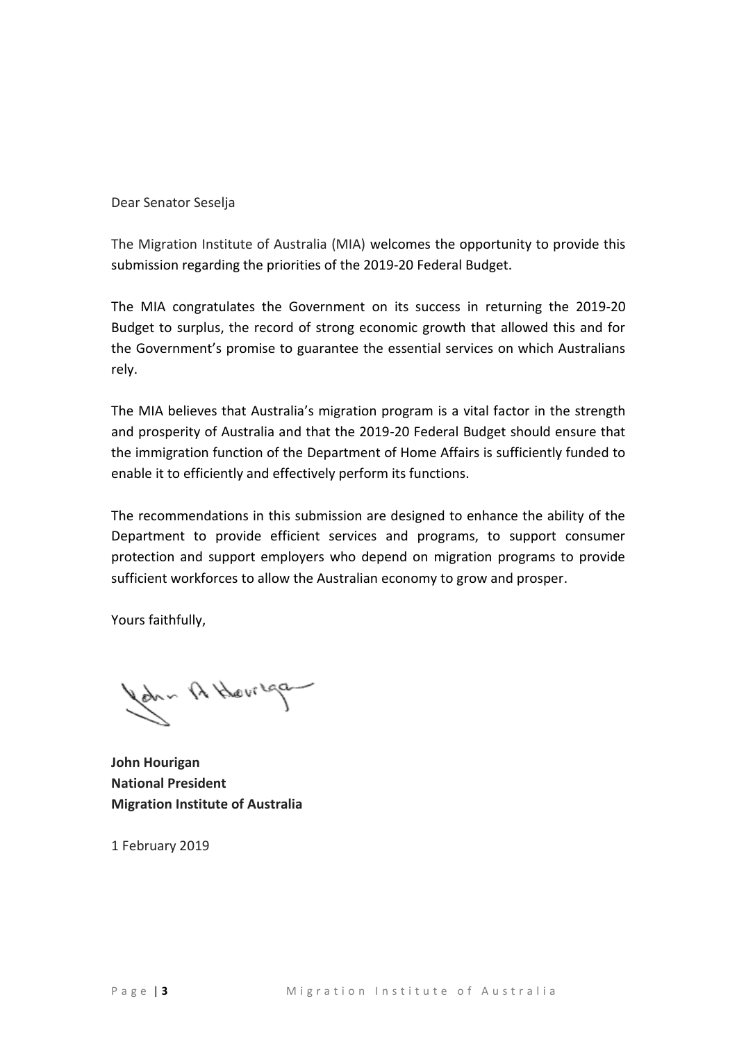Dear Senator Seselja

The Migration Institute of Australia (MIA) welcomes the opportunity to provide this submission regarding the priorities of the 2019-20 Federal Budget.

The MIA congratulates the Government on its success in returning the 2019-20 Budget to surplus, the record of strong economic growth that allowed this and for the Government's promise to guarantee the essential services on which Australians rely.

The MIA believes that Australia's migration program is a vital factor in the strength and prosperity of Australia and that the 2019-20 Federal Budget should ensure that the immigration function of the Department of Home Affairs is sufficiently funded to enable it to efficiently and effectively perform its functions.

The recommendations in this submission are designed to enhance the ability of the Department to provide efficient services and programs, to support consumer protection and support employers who depend on migration programs to provide sufficient workforces to allow the Australian economy to grow and prosper.

Yours faithfully,

John A Howregan

**John Hourigan National President Migration Institute of Australia**

1 February 2019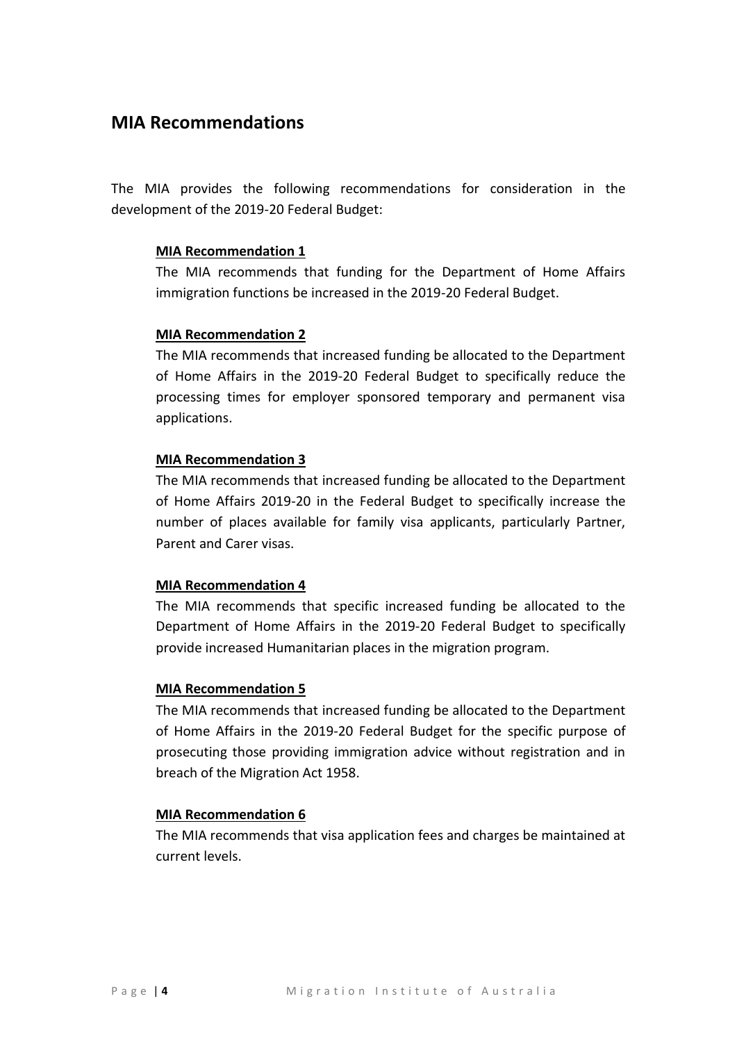# **MIA Recommendations**

The MIA provides the following recommendations for consideration in the development of the 2019-20 Federal Budget:

#### **MIA Recommendation 1**

The MIA recommends that funding for the Department of Home Affairs immigration functions be increased in the 2019-20 Federal Budget.

#### **MIA Recommendation 2**

The MIA recommends that increased funding be allocated to the Department of Home Affairs in the 2019-20 Federal Budget to specifically reduce the processing times for employer sponsored temporary and permanent visa applications.

#### **MIA Recommendation 3**

The MIA recommends that increased funding be allocated to the Department of Home Affairs 2019-20 in the Federal Budget to specifically increase the number of places available for family visa applicants, particularly Partner, Parent and Carer visas.

#### **MIA Recommendation 4**

The MIA recommends that specific increased funding be allocated to the Department of Home Affairs in the 2019-20 Federal Budget to specifically provide increased Humanitarian places in the migration program.

#### **MIA Recommendation 5**

The MIA recommends that increased funding be allocated to the Department of Home Affairs in the 2019-20 Federal Budget for the specific purpose of prosecuting those providing immigration advice without registration and in breach of the Migration Act 1958.

#### **MIA Recommendation 6**

The MIA recommends that visa application fees and charges be maintained at current levels.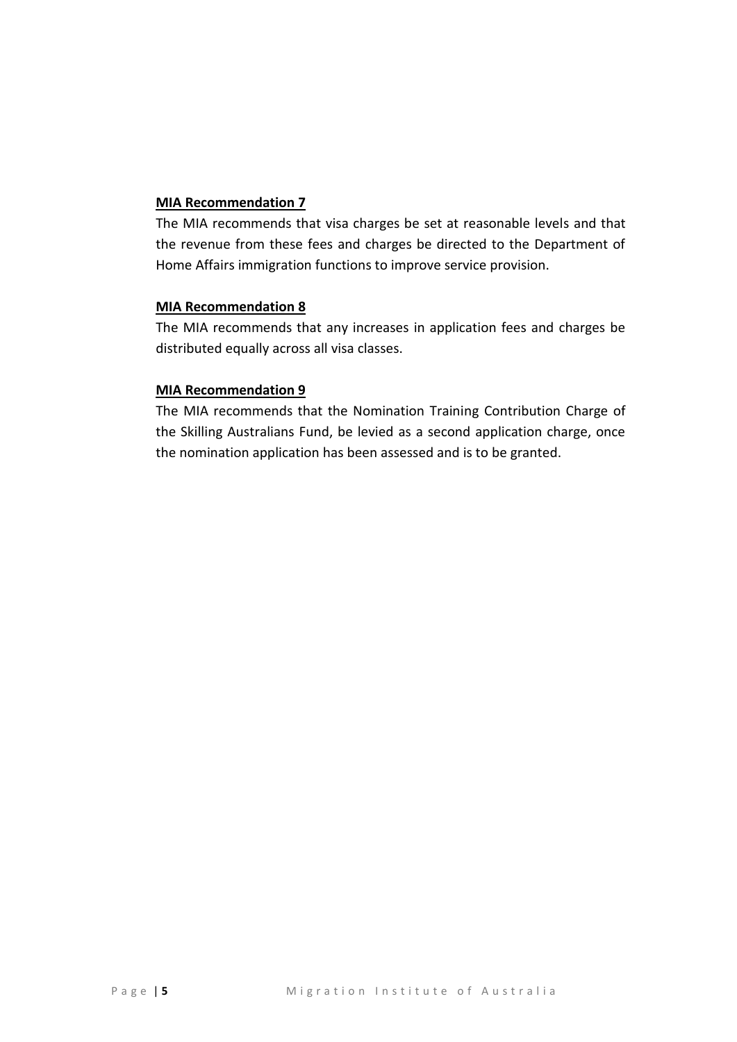#### **MIA Recommendation 7**

The MIA recommends that visa charges be set at reasonable levels and that the revenue from these fees and charges be directed to the Department of Home Affairs immigration functions to improve service provision.

#### **MIA Recommendation 8**

The MIA recommends that any increases in application fees and charges be distributed equally across all visa classes.

#### **MIA Recommendation 9**

The MIA recommends that the Nomination Training Contribution Charge of the Skilling Australians Fund, be levied as a second application charge, once the nomination application has been assessed and is to be granted.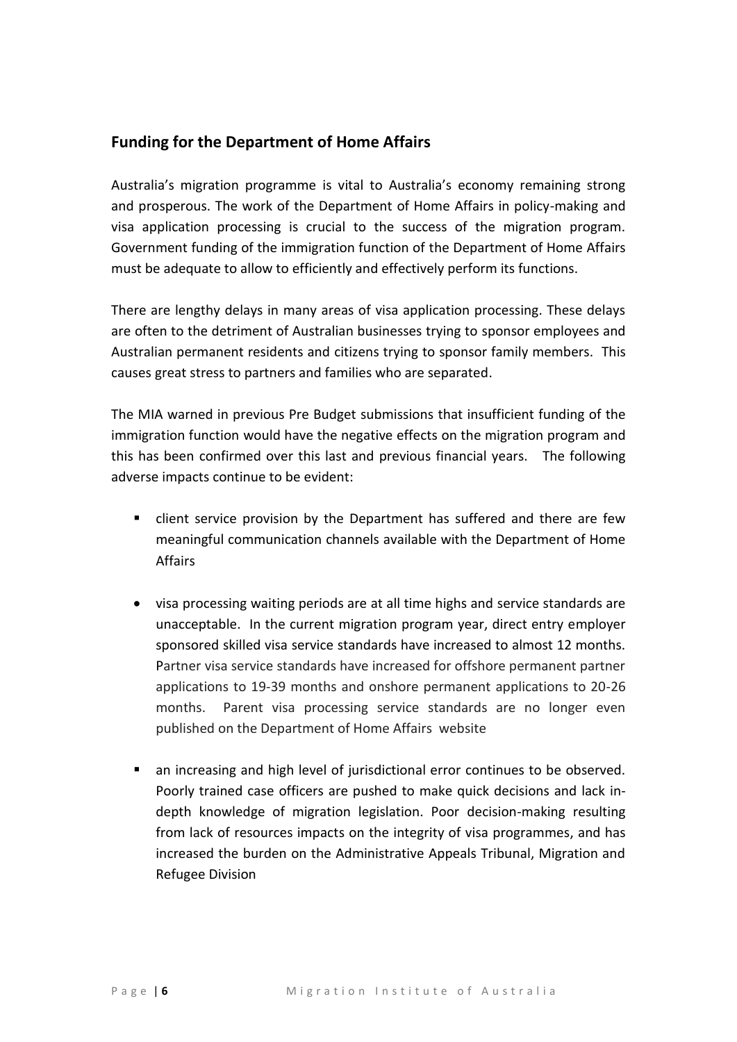### **Funding for the Department of Home Affairs**

Australia's migration programme is vital to Australia's economy remaining strong and prosperous. The work of the Department of Home Affairs in policy-making and visa application processing is crucial to the success of the migration program. Government funding of the immigration function of the Department of Home Affairs must be adequate to allow to efficiently and effectively perform its functions.

There are lengthy delays in many areas of visa application processing. These delays are often to the detriment of Australian businesses trying to sponsor employees and Australian permanent residents and citizens trying to sponsor family members. This causes great stress to partners and families who are separated.

The MIA warned in previous Pre Budget submissions that insufficient funding of the immigration function would have the negative effects on the migration program and this has been confirmed over this last and previous financial years. The following adverse impacts continue to be evident:

- client service provision by the Department has suffered and there are few meaningful communication channels available with the Department of Home Affairs
- visa processing waiting periods are at all time highs and service standards are unacceptable. In the current migration program year, direct entry employer sponsored skilled visa service standards have increased to almost 12 months. Partner visa service standards have increased for offshore permanent partner applications to 19-39 months and onshore permanent applications to 20-26 months. Parent visa processing service standards are no longer even published on the Department of Home Affairs website
- an increasing and high level of jurisdictional error continues to be observed. Poorly trained case officers are pushed to make quick decisions and lack indepth knowledge of migration legislation. Poor decision-making resulting from lack of resources impacts on the integrity of visa programmes, and has increased the burden on the Administrative Appeals Tribunal, Migration and Refugee Division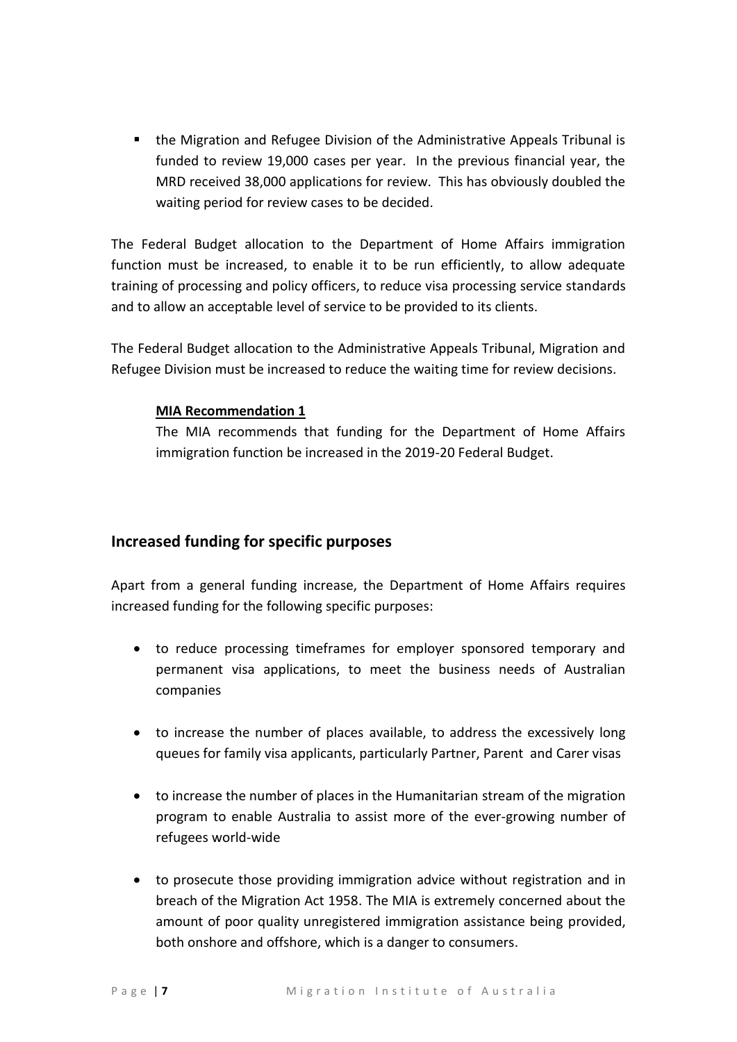the Migration and Refugee Division of the Administrative Appeals Tribunal is funded to review 19,000 cases per year. In the previous financial year, the MRD received 38,000 applications for review. This has obviously doubled the waiting period for review cases to be decided.

The Federal Budget allocation to the Department of Home Affairs immigration function must be increased, to enable it to be run efficiently, to allow adequate training of processing and policy officers, to reduce visa processing service standards and to allow an acceptable level of service to be provided to its clients.

The Federal Budget allocation to the Administrative Appeals Tribunal, Migration and Refugee Division must be increased to reduce the waiting time for review decisions.

#### **MIA Recommendation 1**

The MIA recommends that funding for the Department of Home Affairs immigration function be increased in the 2019-20 Federal Budget.

# **Increased funding for specific purposes**

Apart from a general funding increase, the Department of Home Affairs requires increased funding for the following specific purposes:

- to reduce processing timeframes for employer sponsored temporary and permanent visa applications, to meet the business needs of Australian companies
- to increase the number of places available, to address the excessively long queues for family visa applicants, particularly Partner, Parent and Carer visas
- to increase the number of places in the Humanitarian stream of the migration program to enable Australia to assist more of the ever-growing number of refugees world-wide
- to prosecute those providing immigration advice without registration and in breach of the Migration Act 1958. The MIA is extremely concerned about the amount of poor quality unregistered immigration assistance being provided, both onshore and offshore, which is a danger to consumers.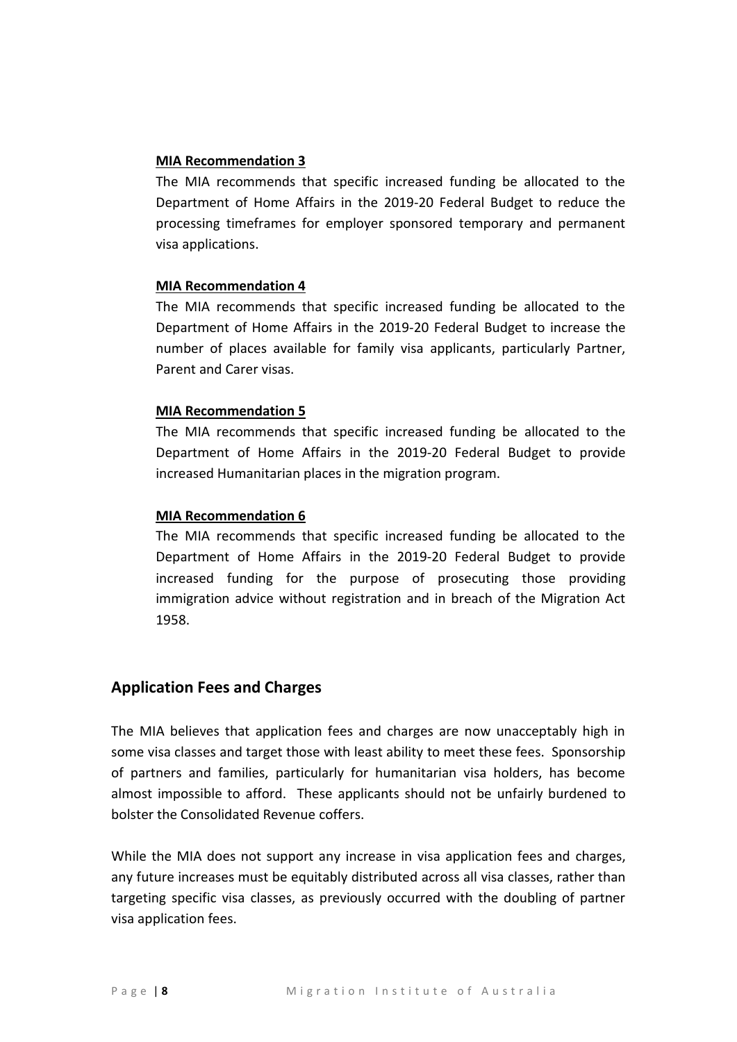#### **MIA Recommendation 3**

The MIA recommends that specific increased funding be allocated to the Department of Home Affairs in the 2019-20 Federal Budget to reduce the processing timeframes for employer sponsored temporary and permanent visa applications.

#### **MIA Recommendation 4**

The MIA recommends that specific increased funding be allocated to the Department of Home Affairs in the 2019-20 Federal Budget to increase the number of places available for family visa applicants, particularly Partner, Parent and Carer visas.

#### **MIA Recommendation 5**

The MIA recommends that specific increased funding be allocated to the Department of Home Affairs in the 2019-20 Federal Budget to provide increased Humanitarian places in the migration program.

#### **MIA Recommendation 6**

The MIA recommends that specific increased funding be allocated to the Department of Home Affairs in the 2019-20 Federal Budget to provide increased funding for the purpose of prosecuting those providing immigration advice without registration and in breach of the Migration Act 1958.

# **Application Fees and Charges**

The MIA believes that application fees and charges are now unacceptably high in some visa classes and target those with least ability to meet these fees. Sponsorship of partners and families, particularly for humanitarian visa holders, has become almost impossible to afford. These applicants should not be unfairly burdened to bolster the Consolidated Revenue coffers.

While the MIA does not support any increase in visa application fees and charges, any future increases must be equitably distributed across all visa classes, rather than targeting specific visa classes, as previously occurred with the doubling of partner visa application fees.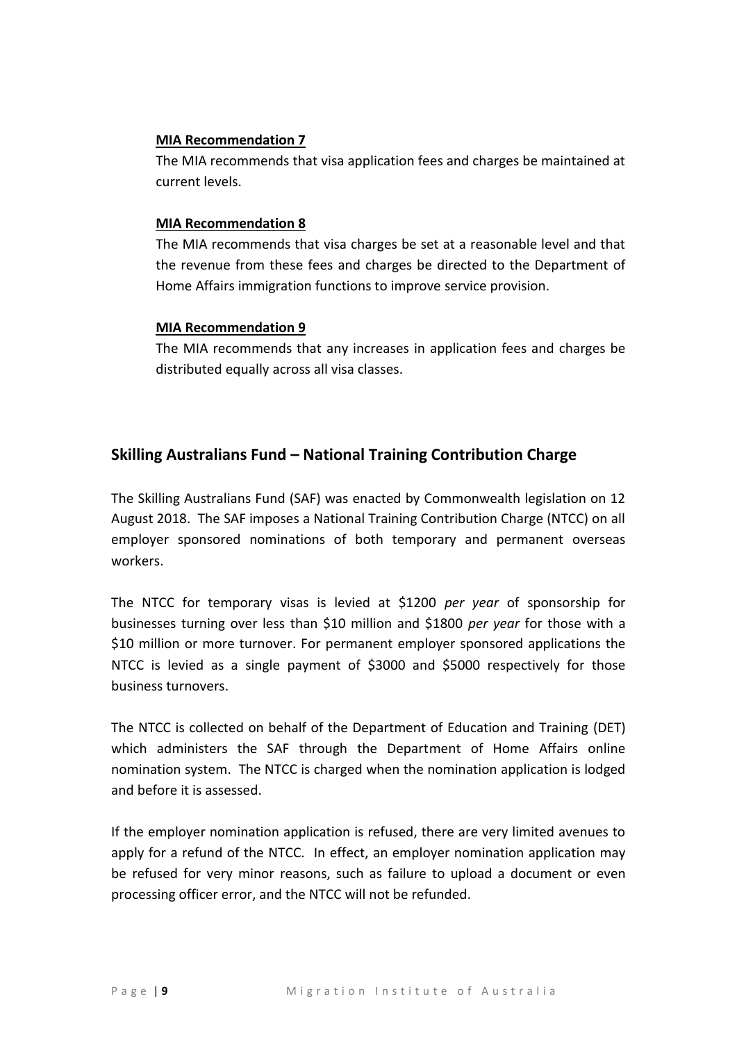#### **MIA Recommendation 7**

The MIA recommends that visa application fees and charges be maintained at current levels.

#### **MIA Recommendation 8**

The MIA recommends that visa charges be set at a reasonable level and that the revenue from these fees and charges be directed to the Department of Home Affairs immigration functions to improve service provision.

#### **MIA Recommendation 9**

The MIA recommends that any increases in application fees and charges be distributed equally across all visa classes.

# **Skilling Australians Fund – National Training Contribution Charge**

The Skilling Australians Fund (SAF) was enacted by Commonwealth legislation on 12 August 2018. The SAF imposes a National Training Contribution Charge (NTCC) on all employer sponsored nominations of both temporary and permanent overseas workers.

The NTCC for temporary visas is levied at \$1200 *per year* of sponsorship for businesses turning over less than \$10 million and \$1800 *per year* for those with a \$10 million or more turnover. For permanent employer sponsored applications the NTCC is levied as a single payment of \$3000 and \$5000 respectively for those business turnovers.

The NTCC is collected on behalf of the Department of Education and Training (DET) which administers the SAF through the Department of Home Affairs online nomination system. The NTCC is charged when the nomination application is lodged and before it is assessed.

If the employer nomination application is refused, there are very limited avenues to apply for a refund of the NTCC. In effect, an employer nomination application may be refused for very minor reasons, such as failure to upload a document or even processing officer error, and the NTCC will not be refunded.